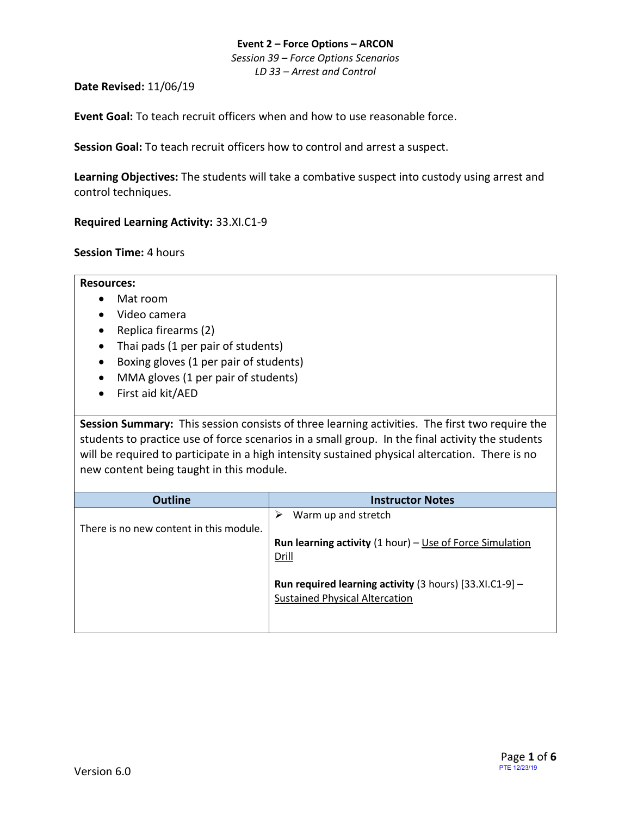*Session 39 – Force Options Scenarios LD 33 – Arrest and Control*

**Date Revised:** 11/06/19

**Event Goal:** To teach recruit officers when and how to use reasonable force.

**Session Goal:** To teach recruit officers how to control and arrest a suspect.

**Learning Objectives:** The students will take a combative suspect into custody using arrest and control techniques.

<span id="page-0-0"></span>**[Required Learning Activity:](#page-4-0)** 33.XI.C1-9

**Session Time:** 4 hours

**Resources:**

- Mat room
- Video camera
- Replica firearms (2)
- Thai pads (1 per pair of students)
- Boxing gloves (1 per pair of students)
- MMA gloves (1 per pair of students)
- First aid kit/AED

**Session Summary:** This session consists of three learning activities. The first two require the students to practice use of force scenarios in a small group. In the final activity the students will be required to participate in a high intensity sustained physical altercation. There is no new content being taught in this module.

| <b>Outline</b>                          | <b>Instructor Notes</b>                                           |
|-----------------------------------------|-------------------------------------------------------------------|
|                                         | Warm up and stretch                                               |
| There is no new content in this module. |                                                                   |
|                                         | <b>Run learning activity</b> $(1 hour) - Use of Force Simulation$ |
|                                         | <b>Drill</b>                                                      |
|                                         |                                                                   |
|                                         | <b>Run required learning activity</b> (3 hours) $[33.X1.C1-9]$ -  |
|                                         | <b>Sustained Physical Altercation</b>                             |
|                                         |                                                                   |
|                                         |                                                                   |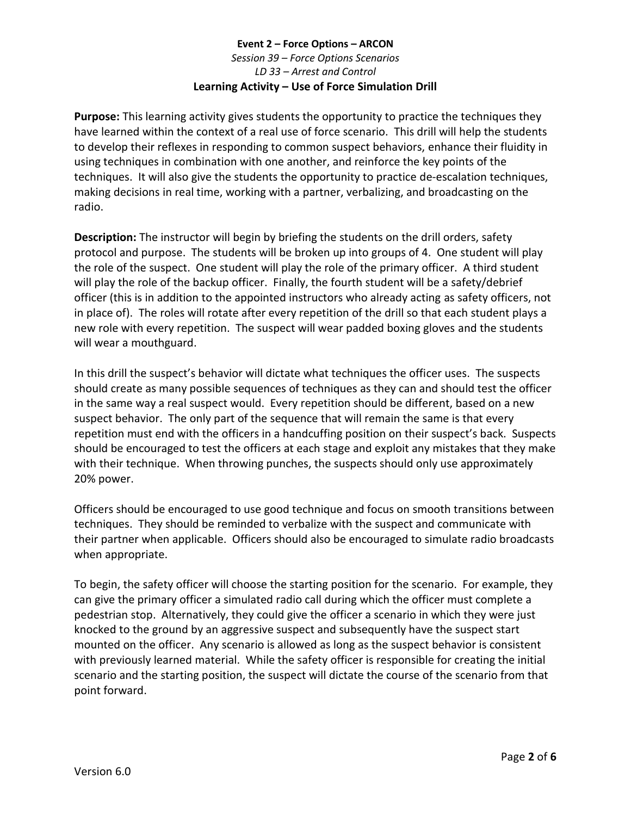# **Event 2 – Force Options – ARCON** *Session 39 – Force Options Scenarios LD 33 – Arrest and Control* **Learning Activity – Use of Force Simulation Drill**

<span id="page-1-0"></span>**Purpose:** This learning activity gives students the opportunity to practice the techniques they have learned within the context of a real use of force scenario. This drill will help the students to develop their reflexes in responding to common suspect behaviors, enhance their fluidity in using techniques in combination with one another, and reinforce the key points of the techniques. It will also give the students the opportunity to practice de-escalation techniques, making decisions in real time, working with a partner, verbalizing, and broadcasting on the radio.

**Description:** The instructor will begin by briefing the students on the drill orders, safety protocol and purpose. The students will be broken up into groups of 4. One student will play the role of the suspect. One student will play the role of the primary officer. A third student will play the role of the backup officer. Finally, the fourth student will be a safety/debrief officer (this is in addition to the appointed instructors who already acting as safety officers, not in place of). The roles will rotate after every repetition of the drill so that each student plays a new role with every repetition. The suspect will wear padded boxing gloves and the students will wear a mouthguard.

In this drill the suspect's behavior will dictate what techniques the officer uses. The suspects should create as many possible sequences of techniques as they can and should test the officer in the same way a real suspect would. Every repetition should be different, based on a new suspect behavior. The only part of the sequence that will remain the same is that every repetition must end with the officers in a handcuffing position on their suspect's back. Suspects should be encouraged to test the officers at each stage and exploit any mistakes that they make with their technique. When throwing punches, the suspects should only use approximately 20% power.

Officers should be encouraged to use good technique and focus on smooth transitions between techniques. They should be reminded to verbalize with the suspect and communicate with their partner when applicable. Officers should also be encouraged to simulate radio broadcasts when appropriate.

To begin, the safety officer will choose the starting position for the scenario. For example, they can give the primary officer a simulated radio call during which the officer must complete a pedestrian stop. Alternatively, they could give the officer a scenario in which they were just knocked to the ground by an aggressive suspect and subsequently have the suspect start mounted on the officer. Any scenario is allowed as long as the suspect behavior is consistent with previously learned material. While the safety officer is responsible for creating the initial scenario and the starting position, the suspect will dictate the course of the scenario from that point forward.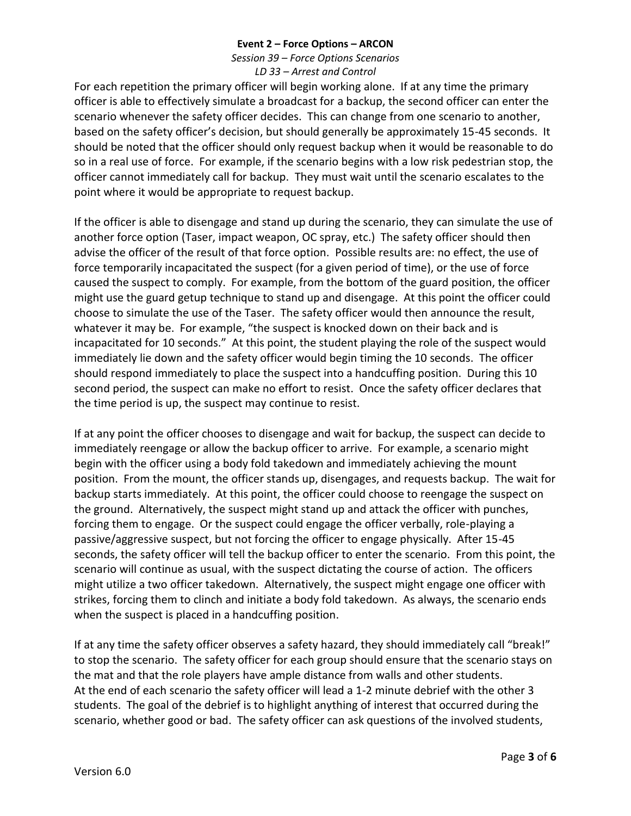*Session 39 – Force Options Scenarios LD 33 – Arrest and Control*

For each repetition the primary officer will begin working alone. If at any time the primary officer is able to effectively simulate a broadcast for a backup, the second officer can enter the scenario whenever the safety officer decides. This can change from one scenario to another, based on the safety officer's decision, but should generally be approximately 15-45 seconds. It should be noted that the officer should only request backup when it would be reasonable to do so in a real use of force. For example, if the scenario begins with a low risk pedestrian stop, the officer cannot immediately call for backup. They must wait until the scenario escalates to the point where it would be appropriate to request backup.

If the officer is able to disengage and stand up during the scenario, they can simulate the use of another force option (Taser, impact weapon, OC spray, etc.) The safety officer should then advise the officer of the result of that force option. Possible results are: no effect, the use of force temporarily incapacitated the suspect (for a given period of time), or the use of force caused the suspect to comply. For example, from the bottom of the guard position, the officer might use the guard getup technique to stand up and disengage. At this point the officer could choose to simulate the use of the Taser. The safety officer would then announce the result, whatever it may be. For example, "the suspect is knocked down on their back and is incapacitated for 10 seconds." At this point, the student playing the role of the suspect would immediately lie down and the safety officer would begin timing the 10 seconds. The officer should respond immediately to place the suspect into a handcuffing position. During this 10 second period, the suspect can make no effort to resist. Once the safety officer declares that the time period is up, the suspect may continue to resist.

If at any point the officer chooses to disengage and wait for backup, the suspect can decide to immediately reengage or allow the backup officer to arrive. For example, a scenario might begin with the officer using a body fold takedown and immediately achieving the mount position. From the mount, the officer stands up, disengages, and requests backup. The wait for backup starts immediately. At this point, the officer could choose to reengage the suspect on the ground. Alternatively, the suspect might stand up and attack the officer with punches, forcing them to engage. Or the suspect could engage the officer verbally, role-playing a passive/aggressive suspect, but not forcing the officer to engage physically. After 15-45 seconds, the safety officer will tell the backup officer to enter the scenario. From this point, the scenario will continue as usual, with the suspect dictating the course of action. The officers might utilize a two officer takedown. Alternatively, the suspect might engage one officer with strikes, forcing them to clinch and initiate a body fold takedown. As always, the scenario ends when the suspect is placed in a handcuffing position.

If at any time the safety officer observes a safety hazard, they should immediately call "break!" to stop the scenario. The safety officer for each group should ensure that the scenario stays on the mat and that the role players have ample distance from walls and other students. At the end of each scenario the safety officer will lead a 1-2 minute debrief with the other 3 students. The goal of the debrief is to highlight anything of interest that occurred during the scenario, whether good or bad. The safety officer can ask questions of the involved students,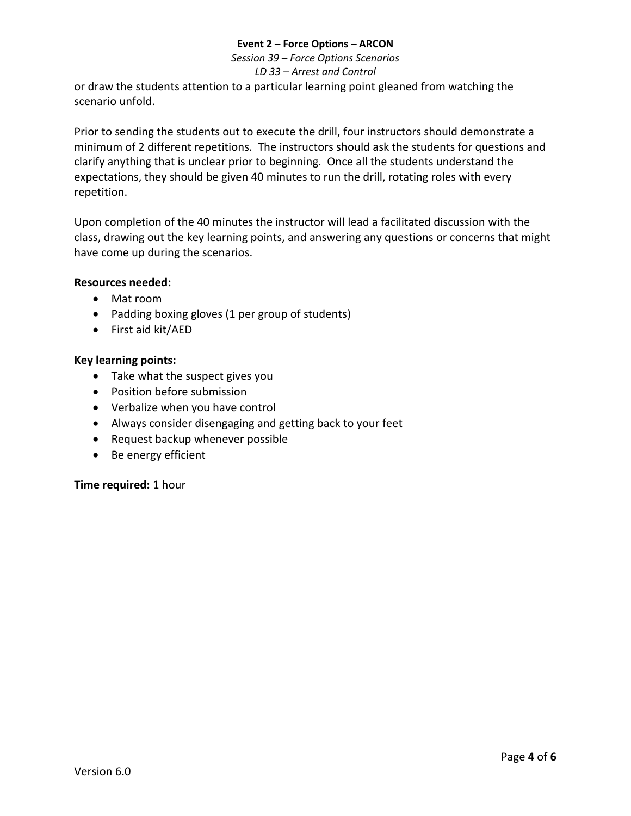*Session 39 – Force Options Scenarios*

#### *LD 33 – Arrest and Control*

or draw the students attention to a particular learning point gleaned from watching the scenario unfold.

Prior to sending the students out to execute the drill, four instructors should demonstrate a minimum of 2 different repetitions. The instructors should ask the students for questions and clarify anything that is unclear prior to beginning. Once all the students understand the expectations, they should be given 40 minutes to run the drill, rotating roles with every repetition.

Upon completion of the 40 minutes the instructor will lead a facilitated discussion with the class, drawing out the key learning points, and answering any questions or concerns that might have come up during the scenarios.

## **Resources needed:**

- Mat room
- Padding boxing gloves (1 per group of students)
- First aid kit/AED

## **Key learning points:**

- Take what the suspect gives you
- Position before submission
- Verbalize when you have control
- Always consider disengaging and getting back to your feet
- Request backup whenever possible
- Be energy efficient

**Time required:** 1 hour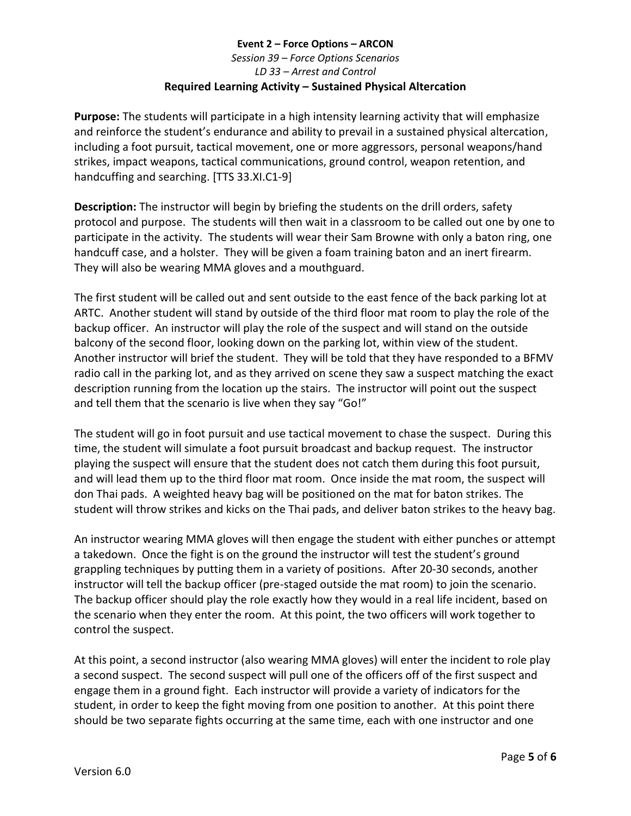# <span id="page-4-0"></span>**Event 2 – Force Options – ARCON** *Session 39 – Force Options Scenarios LD 33 – Arrest and Control* **Required Learning Activity – [Sustained Physical Altercation](#page-0-0)**

**Purpose:** The students will participate in a high intensity learning activity that will emphasize and reinforce the student's endurance and ability to prevail in a sustained physical altercation, including a foot pursuit, tactical movement, one or more aggressors, personal weapons/hand strikes, impact weapons, tactical communications, ground control, weapon retention, and handcuffing and searching. [TTS 33.XI.C1-9]

**Description:** The instructor will begin by briefing the students on the drill orders, safety protocol and purpose. The students will then wait in a classroom to be called out one by one to participate in the activity. The students will wear their Sam Browne with only a baton ring, one handcuff case, and a holster. They will be given a foam training baton and an inert firearm. They will also be wearing MMA gloves and a mouthguard.

The first student will be called out and sent outside to the east fence of the back parking lot at ARTC. Another student will stand by outside of the third floor mat room to play the role of the backup officer. An instructor will play the role of the suspect and will stand on the outside balcony of the second floor, looking down on the parking lot, within view of the student. Another instructor will brief the student. They will be told that they have responded to a BFMV radio call in the parking lot, and as they arrived on scene they saw a suspect matching the exact description running from the location up the stairs. The instructor will point out the suspect and tell them that the scenario is live when they say "Go!"

The student will go in foot pursuit and use tactical movement to chase the suspect. During this time, the student will simulate a foot pursuit broadcast and backup request. The instructor playing the suspect will ensure that the student does not catch them during this foot pursuit, and will lead them up to the third floor mat room. Once inside the mat room, the suspect will don Thai pads. A weighted heavy bag will be positioned on the mat for baton strikes. The student will throw strikes and kicks on the Thai pads, and deliver baton strikes to the heavy bag.

An instructor wearing MMA gloves will then engage the student with either punches or attempt a takedown. Once the fight is on the ground the instructor will test the student's ground grappling techniques by putting them in a variety of positions. After 20-30 seconds, another instructor will tell the backup officer (pre-staged outside the mat room) to join the scenario. The backup officer should play the role exactly how they would in a real life incident, based on the scenario when they enter the room. At this point, the two officers will work together to control the suspect.

At this point, a second instructor (also wearing MMA gloves) will enter the incident to role play a second suspect. The second suspect will pull one of the officers off of the first suspect and engage them in a ground fight. Each instructor will provide a variety of indicators for the student, in order to keep the fight moving from one position to another. At this point there should be two separate fights occurring at the same time, each with one instructor and one